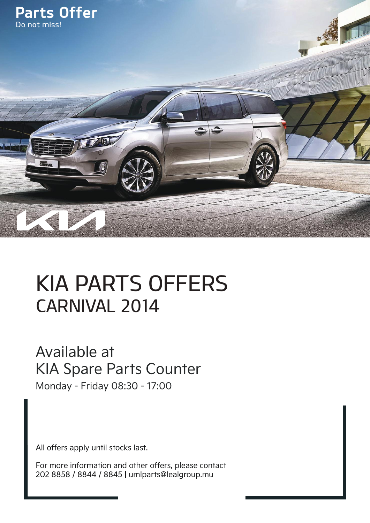

## KIA PARTS OFFERS CARNIVAL 2014

## Available at KIA Spare Parts Counter

Monday - Friday 08:30 - 17:00

All offers apply until stocks last.

For more information and other offers, please contact 202 8858 / 8844 / 8845 | umlparts@lealgroup.mu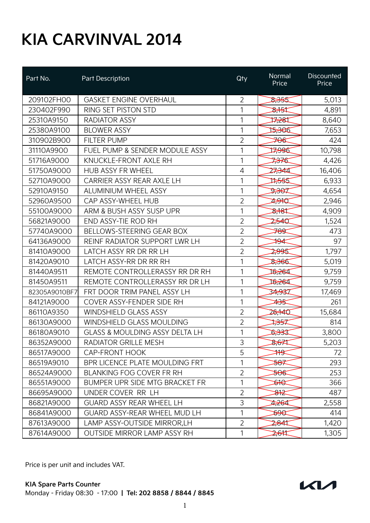## **KIA CARVINVAL 2014**

| Part No.      | Part Description                          | Qty            | Normal<br>Price     | Discounted<br>Price |
|---------------|-------------------------------------------|----------------|---------------------|---------------------|
| 209102FH00    | <b>GASKET ENGINE OVERHAUL</b>             | $\overline{2}$ | 8,355               | 5,013               |
| 230402F990    | RING SET PISTON STD                       | 1              | क्रै†ई‡             | 4,891               |
| 25310A9150    | <b>RADIATOR ASSY</b>                      | 1              | 17,281              | 8,640               |
| 25380A9100    | <b>BLOWER ASSY</b>                        | 1              | 15,306              | 7,653               |
| 310902B900    | <b>FILTER PUMP</b>                        | 2              | <del>70€</del>      | 424                 |
| 31110A9900    | FUEL PUMP & SENDER MODULE ASSY            | 1              | 7996                | 10,798              |
| 51716A9000    | KNUCKLE-FRONT AXLE RH                     | 1              | <del>737</del> €    | 4,426               |
| 51750A9000    | HUB ASSY FR WHEEL                         | 4              | 27,344              | 16,406              |
| 52710A9000    | CARRIER ASSY REAR AXLE LH                 | 1              | ⊅∻55                | 6,933               |
| 52910A9150    | <b>ALUMINIUM WHEEL ASSY</b>               | 1              | केश्वर              | 4,654               |
| 52960A9500    | CAP ASSY-WHEEL HUB                        | $\overline{2}$ | 7,940               | 2,946               |
| 55100A9000    | ARM & BUSH ASSY SUSP UPR                  | 1              | क्षेत्र             | 4,909               |
| 56821A9000    | END ASSY-TIE ROD RH                       | $\overline{2}$ | 2540                | 1,524               |
| 57740A9000    | <b>BELLOWS-STEERING GEAR BOX</b>          | $\overline{2}$ | <del>789</del>      | 473                 |
| 64136A9000    | REINF RADIATOR SUPPORT LWR LH             | $\overline{2}$ | ₩                   | 97                  |
| 81410A9000    | LATCH ASSY RR DR RR LH                    | $\overline{2}$ | 2,995               | 1,797               |
| 81420A9010    | LATCH ASSY-RR DR RR RH                    | 1              | <b>3,366</b>        | 5,019               |
| 81440A9511    | REMOTE CONTROLLERASSY RR DR RH            | 1              | 16,264              | 9,759               |
| 81450A9511    | REMOTE CONTROLLERASSY RR DR LH            | 1              | 16,264              | 9,759               |
| 82305A9010BF7 | FRT DOOR TRIM PANEL ASSY LH               | 1              | 34,937              | 17,469              |
| 84121A9000    | COVER ASSY-FENDER SIDE RH                 | 1              | ≱ૐ                  | 261                 |
| 86110A9350    | <b>WINDSHIELD GLASS ASSY</b>              | $\overline{2}$ | 26,140              | 15,684              |
| 86130A9000    | <b>WINDSHIELD GLASS MOULDING</b>          | $\overline{2}$ | ≫क्                 | 814                 |
| 86180A9010    | <b>GLASS &amp; MOULDING ASSY DELTA LH</b> | 1              | 5,333               | 3,800               |
| 86352A9000    | RADIATOR GRILLE MESH                      | 3              | \$ <del>,67</del> 4 | 5,203               |
| 86517A9000    | <b>CAP-FRONT HOOK</b>                     | 5              | ₩                   | 72                  |
| 86519A9010    | BPR LICENCE PLATE MOULDING FRT            | 1              | <del>≫8</del>       | 293                 |
| 86524A9000    | <b>BLANKING FOG COVER FR RH</b>           | $\overline{2}$ | 506                 | 253                 |
| 86551A9000    | BUMPER UPR SIDE MTG BRACKET FR            | 1              | क्षी                | 366                 |
| 86695A9000    | UNDER COVER RR LH                         | $\overline{2}$ | ৯†≵                 | 487                 |
| 86821A9000    | <b>GUARD ASSY REAR WHEEL LH</b>           | 3              | 4,264               | 2,558               |
| 86841A9000    | <b>GUARD ASSY-REAR WHEEL MUD LH</b>       | 1              | <del>s9C</del>      | 414                 |
| 87613A9000    | LAMP ASSY-OUTSIDE MIRROR, LH              | $\overline{2}$ | 2,841               | 1,420               |
| 87614A9000    | <b>OUTSIDE MIRROR LAMP ASSY RH</b>        | 1              | 2,611               | 1,305               |

Price is per unit and includes VAT.